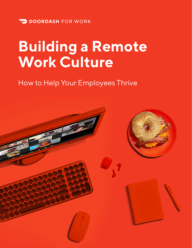

# **Building a Remote Work Culture**

### How to Help Your Employees Thrive

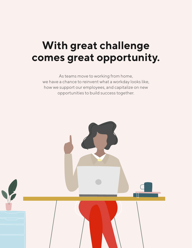## **With great challenge comes great opportunity.**

As teams move to working from home, we have a chance to reinvent what a workday looks like, how we support our employees, and capitalize on new opportunities to build success together.

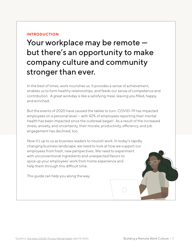### **INTRODUCTION**

Your workplace may be remote but there's an opportunity to make company culture and community stronger than ever.

In the best of times, work nourishes us. It provides a sense of achievement, enables us to form healthy relationships, and feeds our sense of competence and contribution. A great workday is like a satisfying meal, leaving you filled, happy, and enriched.

But the events of 2020 have caused the tables to turn. COVID-19 has impacted employees on a personal level — with 42% of employees reporting their mental health has been impacted since the outbreak began<sup>1</sup>. As a result of the increased stress, anxiety, and uncertainty, their morale, productivity, efficiency, and job engagement has declined, too.

Now it's up to us as business leaders to nourish work. In today's rapidly changing business landscape, we need to look at how we support our employees from fresh, new perspectives. We need to experiment with unconventional ingredients and unexpected flavors to spice up your employees' work from home experience and help them through this difficult time.

This guide can help you along the way.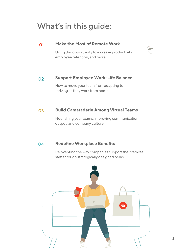### What's in this guide:

#### **Make the Most of Remote Work** 01

[Using this opportunity to increase productivity,](#page-4-0)  employee retention, and more.

#### **[Support Employee Work-Life Balance](#page-6-0)** 02

How to move your team from adapting to thriving as they work from home.

#### **[Build Camaraderie Among Virtual Teams](#page-10-0)** 03

Nourishing your teams, improving communication, output, and company culture.

#### **Redefine Workplace Benefits** 04

[Reinventing the way companies support their remote](#page-16-0)  staff through strategically designed perks.

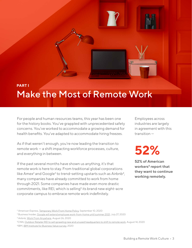### <span id="page-4-0"></span>**PART I** Make the Most of Remote Work

For people and human resources teams, this year has been one for the history books. You've grappled with unprecedented safety concerns. You've worked to accommodate a growing demand for health benefits. You've adapted to accommodate hiring freezes.

As if that weren't enough, you're now leading the transition to remote work — a shift impacting workforce processes, culture, and everything in between.

If the past several months have shown us anything, it's that remote work is here to stay. From traditional global corporations like Amex<sup>2</sup> and Google<sup>3</sup> to trend-setting upstarts such as Airbnb<sup>4</sup>, many companies have already committed to work from home through 2021. Some companies have made even more drastic commitments, like REI, which is selling<sup>5</sup> its brand new eight-acre corporate campus to embrace remote work indefinitely.

Employees across industries are largely in agreement with this transition —

# **52%**

JF

**52% of American**  workers<sup>6</sup> report that **they want to continue working remotely.** 

<sup>&</sup>lt;sup>2</sup> American Express, <u>Temporary Work From Home Policy</u>, September 10, 2020

<sup>3</sup> Business Insider, [Google will extend employee work-from-home until summer 2021](https://www.businessinsider.com/google-employees-working-from-home-summer-2021-report-2020-7), July 27, 2020

<sup>4</sup> Airbnb, [Work From Anywhere,](https://news.airbnb.com/work-from-anywhere-how-airbnb-guests-are-approaching-remote-working/) August 26, 2020

<sup>5</sup>CNN, [Outdoor Retailer REI to sell sprawling new and unused headquarters to shift to remote work,](https://www.cnn.com/2020/08/13/business/rei-sell-campus-coronavirus-trnd/index.html) August 14, 2020

<sup>6</sup>IBM, [IBM Institute for Business Value survey,](https://newsroom.ibm.com/2020-05-01-IBM-Study-COVID-19-Is-Significantly-Altering-U-S-Consumer-Behavior-and-Plans-Post-Crisis) 2020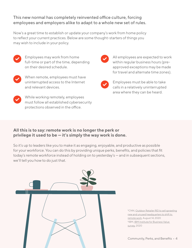### This new normal has completely reinvented office culture, forcing employees and employers alike to adapt to a whole new set of rules.

Now's a great time to establish or update your company's work from home policy to reflect your current practices. Below are some thought-starters of things you may wish to include in your policy.



Employees may work from home full-time or part of the time, depending on their desired schedule.

When remote, employees must have uninterrupted access to the Internet and relevant devices.



While working remotely, employees must follow all established cybersecurity protections observed in the office.

All employees are expected to work within regular business hours (preapproved exceptions may be made for travel and alternate time zones).



Employees must be able to take calls in a relatively uninterrupted area where they can be heard.

### **All this is to say: remote work is no longer the perk or privilege it used to be — it's simply the way work is done.**

So it's up to leaders like you to make it as engaging, enjoyable, and productive as possible for your workforce. You can do this by providing unique perks, benefits, and policies that fit today's remote workforce instead of holding on to yesterday's — and in subsequent sections, we'll tell you how to do just that.



5CNN, [Outdoor Retailer REI to sell sprawling](https://www.cnn.com/2020/08/13/business/rei-sell-campus-coronavirus-trnd/index.html) [new and unused headquarters to shift to](https://www.cnn.com/2020/08/13/business/rei-sell-campus-coronavirus-trnd/index.html)  [remote work](https://www.cnn.com/2020/08/13/business/rei-sell-campus-coronavirus-trnd/index.html), August 14, 2020 6IBM, [IBM Institute for Business Value](https://newsroom.ibm.com/2020-05-01-IBM-Study-COVID-19-Is-Significantly-Altering-U-S-Consumer-Behavior-and-Plans-Post-Crisis)  [survey](https://newsroom.ibm.com/2020-05-01-IBM-Study-COVID-19-Is-Significantly-Altering-U-S-Consumer-Behavior-and-Plans-Post-Crisis), 2020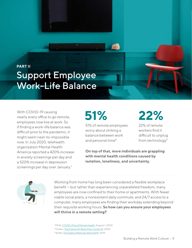## <span id="page-6-0"></span>**PART II** Support Employee Work-Life Balance

With COVID-19 causing nearly every office to go remote, employees now live at work. So if finding a work-life balance was difficult prior to the pandemic, it might seem next-to-impossible now. In July 2020, telehealth organization Mental Health America reported a 420% increase in anxiety screenings per day and a 520% increase in depression screenings per day over January.<sup>7</sup>

# **51%**

51% of remote employees worry about striking a balance between work and personal time<sup>8</sup>

# **22%**

22% of remote workers find it difficult to unplug from technology<sup>9</sup>

**On top of that, more individuals are grappling with mental health conditions caused by isolation, loneliness, and uncertainty.**



Working from home has long been considered a flexible workplace benefit — but rather than experiencing unparalleled freedom, many employees are now confined to their home or apartments. With fewer viable social plans, a nonexistent daily commute, and 24/7 access to a computer, many employees are finding their workday extending beyond their requisite working hours. **So how can you ensure your employees will thrive in a remote setting?**

<sup>7</sup> MHA, [COVID-19 and Mental Health.](https://mhanational.org/sites/default/files/Coronavirus%20Mental%20Health%20Presentation%208-1-2020%20(1).pdf) August 1, 2020.

8 Forbes, The Future Of Work Post-Covid-19, 2020.

<sup>&</sup>lt;sup>9</sup> Buffer, [The State of Remote Work 2019.](https://buffer.com/state-of-remote-work-2019) 2019.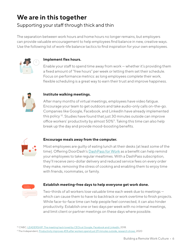### **We are in this together**

### Supporting your staff through thick and thin

The separation between work hours and home hours no longer remains, but employers can provide valuable encouragement to help employees find balance in new, creative ways. Use the following list of work-life balance tactics to find inspiration for your own employees.



### **Implement flex hours.**

Enable your staff to spend time away from work — whether it's providing them a fixed amount of "free hours" per week or letting them set their schedule. Focus on performance metrics: as long employees complete their work, flexible scheduling is a great way to earn their trust and improve happiness.



### **Institute walking meetings.**

After many months of virtual meetings, employees have video fatigue. Encourage your team to get outdoors and take audio-only calls on-the-go. Companies like Google, Facebook, and LinkedIn have already implemented this policy 10. Studies have found that just 30 minutes outside can improve office workers' productivity by almost 50%11. Taking this time can also help break up the day and provide mood-boosting benefits.



### **Encourage meals away from the computer.**

Most employees are guilty of eating lunch at their desks (at least some of the time). Offering DoorDash's [DashPass for Work](https://work.doordash.com/dashpass?utm_source=Web&utm_medium=Direct&utm_campaign=DW_US_DIR_OCT_CXD_DDW_WOR_BOF_ALE_ENG_5_CUSXXX__Downloadable-Q420-Remote-Work-Culture-Guide&utm_ad_group_id=&utm_keyword_id=&utm_creative_id=) as a benefit can help remind your employees to take regular mealtimes. With a DashPass subscription, they'll receive zero-dollar delivery and reduced service fees on every order they make, removing the stress of cooking and enabling them to enjoy time with friends, roommates, or family.



### **Establish meeting-free days to help everyone get work done.**

Two-thirds of all workers lose valuable time each week due to meetings which can cause them to have to backtrack or work overtime to finish projects. While face-to-face time can help people feel connected, it can also hinder productivity. Establish one or two days per week with no internal meetings, and limit client or partner meetings on these days where possible.

<sup>&</sup>lt;sup>10</sup> CNBC, [LEADERSHIP: The meeting hack loved by CEOs at Google, Facebook and LinkedIn.](https://www.cnbc.com/2018/08/23/why-ceos-at-google-facebook-and-linkedin-love-walking-meetings.html) 2018.

<sup>&</sup>lt;sup>11</sup> The Independent, [Productivity improves 45% after workers spend just 29 minutes outside, research shows.](https://www.independent.co.uk/news/uk/home-news/productivity-work-time-office-outdoors-study-b513816.html) 2020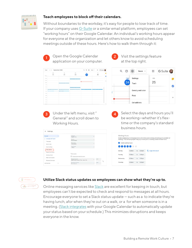

### **Teach employees to block off their calendars.**

Without boundaries to the workday, it's easy for people to lose track of time. If your company uses [G-Suite](https://gsuite.google.com/) or a similar email platform, employees can set "working hours" on their Google Calendar. An individual's working hours appear for everyone at the organization and let others know to avoid scheduling meetings outside of these hours. Here's how to walk them through it:

| ÏИ<br>Miles<br>21<br>22                                                                                   | wm<br>23<br>24                        | TH.<br>25            |                                                                                                                                                                                                   | ⊘                    | స్ట్ర                  | G Suite <b>O</b><br>$\mathop{\mathbb{H}}\nolimits$ |
|-----------------------------------------------------------------------------------------------------------|---------------------------------------|----------------------|---------------------------------------------------------------------------------------------------------------------------------------------------------------------------------------------------|----------------------|------------------------|----------------------------------------------------|
|                                                                                                           |                                       |                      | ø                                                                                                                                                                                                 |                      |                        |                                                    |
|                                                                                                           | Mill Staff meeting, Tilters bron d'at |                      |                                                                                                                                                                                                   | <b>THU</b>           | Settings               | FRI                                                |
|                                                                                                           |                                       |                      |                                                                                                                                                                                                   | 24                   | Trash                  | 25                                                 |
|                                                                                                           | <b>ID-MATSHAW Steele Contact AS</b>   |                      |                                                                                                                                                                                                   |                      |                        |                                                    |
|                                                                                                           |                                       |                      |                                                                                                                                                                                                   |                      | Density and color      |                                                    |
|                                                                                                           |                                       |                      |                                                                                                                                                                                                   |                      | Print                  |                                                    |
|                                                                                                           |                                       |                      |                                                                                                                                                                                                   |                      |                        |                                                    |
|                                                                                                           |                                       |                      |                                                                                                                                                                                                   |                      | Get add-ons            |                                                    |
| Working Hours.                                                                                            |                                       |                      |                                                                                                                                                                                                   |                      |                        | time or the company's standard                     |
|                                                                                                           |                                       |                      |                                                                                                                                                                                                   |                      | business hours.        |                                                    |
| $\leftarrow$ Settings                                                                                     |                                       |                      |                                                                                                                                                                                                   |                      |                        |                                                    |
|                                                                                                           | Language<br>English (US)              | <b>Working Hours</b> |                                                                                                                                                                                                   |                      |                        |                                                    |
| Language and region<br>Time zone                                                                          | Country<br><b>United States</b>       |                      | Enable working hours to let people know what times you're working and when you're available for<br>meetings. This will warn people if they try to invite you to a meeting outside of these hours. |                      |                        |                                                    |
|                                                                                                           | Date format<br>12/31/2020             |                      |                                                                                                                                                                                                   | Enable working hours |                        |                                                    |
|                                                                                                           |                                       |                      |                                                                                                                                                                                                   |                      |                        |                                                    |
|                                                                                                           | Time format<br>1.00pm                 |                      |                                                                                                                                                                                                   |                      |                        |                                                    |
|                                                                                                           |                                       |                      |                                                                                                                                                                                                   | Monday               | 9:00am<br>5:00pm<br>to | Copy time to all                                   |
|                                                                                                           | Time zone                             |                      |                                                                                                                                                                                                   | Tuesday              | 9:00am<br>5:00pm<br>to |                                                    |
| World clock<br>Event settings<br>View options<br>Events from Gmail<br>Working Hours<br>Main work location | Cisplay secondary time zone           |                      |                                                                                                                                                                                                   | Wednesday            | 9:00am<br>5:00pm<br>to |                                                    |



### **Utilize Slack status updates so employees can show what they're up to.**

Online messaging services like [Slack](https://slack.com/) are excellent for keeping in touch, but employees can't be expected to check and respond to messages at all hours. Encourage everyone to set a Slack status update — such as a to indicate they're having lunch, afor when they're out on a walk, or a for when someone is in a meeting. [\(Slack integrates](https://slack.com/app-pages/google-calendar) with your Google Calendar to automatically update your status based on your schedule.) This minimizes disruptions and keeps everyone in the know.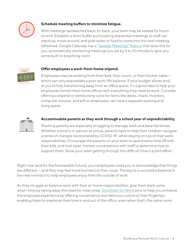

### **Schedule meeting buffers to minimize fatigue.**

With meetings sandwiched back-to-back, your team may be seated for hours on end. Establish a short buffer punctuating sequential meetings so staff can stand up, move around, and grab water or food to come into the next meeting refreshed. Google Calendar has a ["Speedy Meetings" feature](https://cloud.google.com/blog/products/g-suite/work-hacks-from-g-suite-how-to-host-more-effective-meetings) that does this for you, automatically shortening meetings you set by 5 to 10 minutes to give you some built-in breathing room.



### **Offer employees a work-from-home stipend.**

Employees may be working from their bed, their couch, or their kitchen table which can only exacerbate a poor work-life balance. If your budget allows and/ or you're fully transitioning away from an office space, it's a good idea to help your employees furnish their home offices with everything they need to work. Consider offering a stipend or reimbursing costs for items like desks, chairs, monitors, computer mouses, and wifi so employees can have a separate working and living space.



#### **Accommodate parents as they work through a school year of unpredictability.**

Working parents are especially struggling to manage work and parental duties. Whether school is in-person or virtual, parents have to help their children navigate a series of changes necessitated by COVID-19, while staying on top of their work responsibilities. Encourage the parents on your team to spend extra time off with their kids, and host open, honest conversations with staff to determine how to support them. Show your team getting through this difficult time is a joint effort.

Right now (and for the foreseeable future), your employees need you to acknowledge that things are different — and they may feel more burned out than usual. The key to a successful balance in the new normal is to help employees enjoy their life outside of work.

As they struggle to balance work with their at-home responsibilities, give them back some down-time by taking away the need for meal-prep. [DoorDash for Work](http://work.doordash.com?utm_source=Web&utm_medium=Direct&utm_campaign=DW_US_DIR_OCT_CXD_DDW_WOR_BOF_ALE_ENG_5_CUSXXX__Downloadable-Q420-Remote-Work-Culture-Guide&utm_ad_group_id=&utm_keyword_id=&utm_creative_id=) aims to help you enhance the employee experience by offering convenience and delicious cuisine at their fingertips, enabling them to maximize their time in and out of the office, even when that's the same room.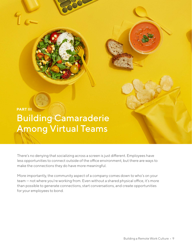## <span id="page-10-0"></span>**PART III** Building Camaraderie Among Virtual Teams

There's no denying that socializing across a screen is just different. Employees have less opportunities to connect outside of the office environment, but there are ways to make the connections they do have more meaningful.

More importantly, the community aspect of a company comes down to who's on your team — not where you're working from. Even without a shared physical office, it's more than possible to generate connections, start conversations, and create opportunities for your employees to bond.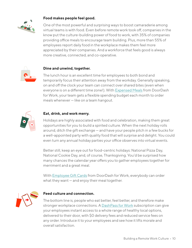

### **Food makes people feel good.**

One of the most powerful and surprising ways to boost camaraderie among virtual teams is with food. Even before remote work took off, companies in the know put the culture-building power of food to work, with 35% of companies providing office meals to encourage team building. Plus, more than 55% of employees report daily food in the workplace makes them feel more appreciated by their companies. And a workforce that feels good is always more creative, connected, and co-operative.



### **Dine and unwind, together.**

The lunch hour is an excellent time for employees to both bond and temporarily focus their attention away from the workday. Generally speaking, on and off the clock your team can connect over shared bites (even when everyone is on a different time zone!). With **Expensed Meals** from DoorDash for Work, your team gets a flexible spending budget each month to order meals whenever — like on a team hangout.



### **Eat, drink, and work merry.**

Holidays are highly associated with food and celebration, making them great opportunities for you to build a spirited culture. When the next holiday rolls around, ditch the gift exchange — and have your people pitch in a few bucks for a well-appointed party with quality food that will surprise and delight. You could even turn any annual holiday parties your office observes into virtual events.

Better still, keep an eye out for food-centric holidays: National Pizza Day, National Cookie Day, and, of course, Thanksgiving. You'd be surprised how many chances the calendar year offers you to gather employees together for merriment and a great meal.

With **Employee Gift Cards** from DoorDash for Work, everybody can order what they want — and enjoy their meal together.



#### **Feed culture and connection.**

The bottom line is, people who eat better, feel better, and therefore make stronger workplace connections. A [DashPass for Work](http://work.doordash.com/dashpass?utm_source=Web&utm_medium=Direct&utm_campaign=DW_US_DIR_OCT_CXD_DDW_WOR_BOF_ALE_ENG_5_CUSXXX__Downloadable-Q420-Remote-Work-Culture-Guide&utm_ad_group_id=&utm_keyword_id=&utm_creative_id=) subscription can give your employees instant access to a whole range of healthy local options, delivered to their door, with \$0 delivery fees and reduced service fees on any order. Introduce it to your employees and see how it lifts morale and overall satisfaction.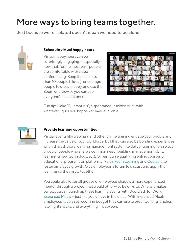## More ways to bring teams together.

Just because we're isolated doesn't mean we need to be alone.



### **Schedule virtual happy hours**

Virtual happy hours can be surprisingly engaging — especially now that, for the most part, people are comfortable with video conferencing. Keep it small (less than 10 people is ideal), encourage people to dress snappy, and use the Zoom grid view so you can see everyone's faces at once.



Fun tip: Make "Quarantinis", a spontaneous mixed drink with whatever liquor you happen to have available.



### **Provide learning opportunities**

Virtual events like webinars and other online training engage your people and increase the value of your workforce. But they can also be bonding experiences when shared. Use a learning management system to deliver training to a select group of people who share a common need (building management skills, learning a new technology, etc). Or reimburse qualifying online courses or educational programs on platforms like [LinkedIn Learning](https://www.linkedin.com/learning/) and [Coursera](https://www.coursera.org/) to foster employee growth. Give employees a forum to discuss and apply their leanings so they grow together.

You could also let small groups of employees shadow a more experienced mentor through a project that would otherwise be on-site. Where it makes sense, you can punch up these learning events with DoorDash for Work [Expensed Meals](http://work.doordash.com/expensed-meals?utm_source=Web&utm_medium=Direct&utm_campaign=DW_US_DIR_OCT_CXD_DDW_WOR_BOF_ALE_ENG_5_CUSXXX__Downloadable-Q420-Remote-Work-Culture-Guide&utm_ad_group_id=&utm_keyword_id=&utm_creative_id=) — just like you'd have in the office. With Expensed Meals, employees have a set recurring budget they can use to order working lunches, late night snacks, and everything in between.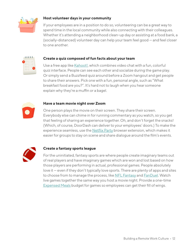

### **Host volunteer days in your community**

If your employees are in a position to do so, volunteering can be a great way to spend time in the local community while also connecting with their colleagues. Whether it's attending a neighborhood clean-up day or assisting at a food bank, a (socially-distanced) volunteer day can help your team feel good — and feel closer to one another.



### **Create a quiz composed of fun facts about your team**

Use a free app like [Kahoot!,](https://kahoot.com/) which combines video chat with a fun, colorful quiz interface. People can see each other and socialize during the game play. Or simply send a Buzzfeed quiz around before a Zoom hangout and get people to share their answers. Pick one with a fun, personal angle, such as "What breakfast food are you?". It's hard not to laugh when you hear someone explain why they're a muffin or a bagel.



### **Have a team movie night over Zoom**

One person plays the movie on their screen. They share their screen. Everybody else can chime in for running commentary as you watch, so you get that feeling of sharing an experience together. Oh, and don't forget the snacks! (Which, of course, DoorDash can deliver to your employees' doors.) To make the experience seamless, use the [Netflix Party](https://www.netflixparty.com/) browser extension, which makes it easier for groups to stay on scene and share dialogue around the film's events.



### **Create a fantasy sports league**

For the uninitiated, fantasy sports are where people create imaginary teams out of real players and have imaginary games which are won and lost based on how those players are performing in actual, professional games. People absolutely love it — even if they don't typically love sports. There are plenty of apps and sites to choose from to manage the process, like [NFL Fantasy](https://fantasy.nfl.com/) and [FanDuel](https://www.fanduel.com/). Watch live games together the same way you host a movie night. Provide a one-time [Expensed Meals](http://work.doordash.com/expensed-meals?utm_source=Web&utm_medium=Direct&utm_campaign=DW_US_DIR_OCT_CXD_DDW_WOR_BOF_ALE_ENG_5_CUSXXX__Downloadable-Q420-Remote-Work-Culture-Guide&utm_ad_group_id=&utm_keyword_id=&utm_creative_id=) budget for games so employees can get their fill of wings.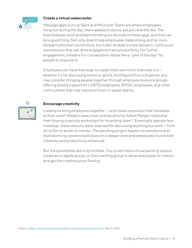

#### **Create a virtual watercooler**

Message apps such as Slack and Microsoft Teams are where employees hang out during the day, share weekend stories, pet pics and the like. The lines between work and team bonding are blurred on these apps, and that can be a good thing. Not only does it help employees make strong and far more frequent personal connections, but it also enables a more dynamic, continuous conversation that can drive engagement and productivity. For further engagement, initiate a fun conversation starter like a "joke of the day" for people to respond to.

Employees can have free reign to create their own niche channels, too whether it's for discussing anime or sports. And beyond fun and games, you may consider bringing people together through employee resource groups offering shared support for LGBTQ employees, BIPOC employees, and other communities that may require a forum to speak openly.



### **Encourage creativity**

Looking to bring employees together — and create inspiration that translates to their work? Adobe's executive creative director Adam Morgan instituted free-flowing creativity workshops for his writing team<sup>13</sup>. Essentially agenda-less meetings, these sessions were reserved for discussing anything but work — from art to film to books to movies. The resulting project-based conversations and brainstorming sessions took place on a deeper level and employees found their creativity and productivity enhanced.

But the possibilities are truly limitless. You could hold a virtual painting session, create an a capella group, or host a writing group to allow employees to interact and get the creative juices flowing.

<sup>13</sup> Adobe, [5 Ways to Remain Creative and Efficient While Marketing from Home.](https://blog.adobe.com/en/2020/05/12/5-ways-to-remain-creative-and-efficient-while-marketing-from-home.html#gs.hgucwg) May 12, 2020.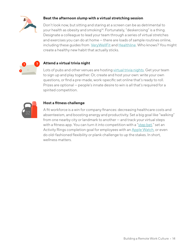

### **Beat the afternoon slump with a virtual stretching session**

Don't look now, but sitting and staring at a screen can be as detrimental to your health as obesity and smoking<sup>14</sup>. Fortunately, "deskercising" is a thing. Designate a colleague to lead your team through a series of virtual stretches and exercises you can do at home — there are loads of sample routines online, including these guides from [VeryWellFit](https://www.verywellfit.com/best-stretches-for-office-workers-1231153) and [Healthline](https://www.healthline.com/health/deskercise#TOC_TITLE_HDR_1). Who knows? You might create a healthy new habit that actually sticks.



### **Attend a virtual trivia night**

Lots of pubs and other venues are hosting [virtual trivia nights.](https://www.sporcle.com/live/virtual-trivia/) Get your team to sign up and play together. Or, create and host your own: write your own questions, or find a pre-made, work-specific set online that's ready to roll. Prizes are optional — people's innate desire to win is all that's required for a spirited competition.



### **Host a fitness challenge**

A fit workforce is a win for company finances: decreasing healthcare costs and absenteeism, and boosting energy and productivity. Set a big goal like "walking" from one nearby city or landmark to another — and track your virtual steps with a fitness app. You can turn it into competition with a ["step bet,](https://waybetter.com/stepbet)" set an Activity Rings completion goal for employees with an [Apple Watch](https://www.apple.com/watch/), or even do old-fashioned flexibility or plank challenge to up the stakes. In short, wellness matters.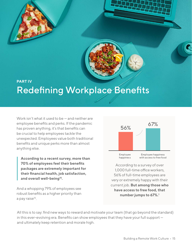

### <span id="page-16-0"></span>**PART IV** Redefining Workplace Benefits

Work isn't what it used to be — and neither are employee benefits and perks. If the pandemic has proven anything, it's that benefits can be crucial to help employees tackle the unexpected. Employees value both traditional benefits and unique perks more than almost anything else.

**According to a recent survey, more than 70% of employees feel their benefits packages are extremely important for their financial health, job satisfaction, and overall well-being15.** 

And a whopping 79% of employees see robust benefits as a higher priority than a pay raise<sup>16</sup>.



According to a survey of over 1,000 full-time office workers, 56% of full-time employees are very or extremely happy with their current job. **But among those who have access to free food, that number jumps to 67%.1**

All this is to say: find new ways to reward and motivate your team (that go beyond the standard) in this ever-evolving era. Benefits can show employees that they have your full support and ultimately keep retention and morale high.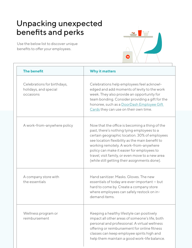### Unpacking unexpected benefits and perks

Use the below list to discover unique benefits to offer your employees.



| <b>The benefit</b>                                                | <b>Why it matters</b>                                                                                                                                                                                                                                                                                                                                                                         |  |  |
|-------------------------------------------------------------------|-----------------------------------------------------------------------------------------------------------------------------------------------------------------------------------------------------------------------------------------------------------------------------------------------------------------------------------------------------------------------------------------------|--|--|
| Celebrations for birthdays,<br>holidays, and special<br>occasions | Celebrations help employees feel acknowl-<br>edged and add moments of levity to the work<br>week. They also provide an opportunity for<br>team bonding. Consider providing a gift for the<br>honoree, such as a DoorDash Employee Gift<br>Cards they can use on their own time.                                                                                                               |  |  |
| A work-from-anywhere policy                                       | Now that the office is becoming a thing of the<br>past, there's nothing tying employees to a<br>certain geographic location. 30% of employees<br>see location flexibility as the main benefit to<br>working remotely. A work-from-anywhere<br>policy can make it easier for employees to<br>travel, visit family, or even move to a new area<br>(while still getting their assignments done). |  |  |
| A company store with<br>the essentials                            | Hand sanitizer. Masks. Gloves. The new<br>essentials of today are ever-important - but<br>hard to come by. Create a company store<br>where employees can safely restock on in-<br>demand items.                                                                                                                                                                                               |  |  |
| Wellness program or<br>reimbursement                              | Keeping a healthy lifestyle can positively<br>impact all other areas of someone's life, both<br>personal and professional. A virtual wellness<br>offering or reimbursement for online fitness<br>classes can keep employee spirits high and<br>help them maintain a good work-life balance.                                                                                                   |  |  |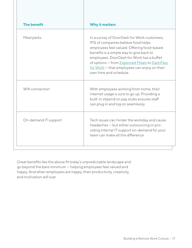| <b>The benefit</b>   | <b>Why it matters</b>                                                                                                                                                                                                                                                                                                                                 |
|----------------------|-------------------------------------------------------------------------------------------------------------------------------------------------------------------------------------------------------------------------------------------------------------------------------------------------------------------------------------------------------|
| Meal perks           | In a survey of DoorDash for Work customers,<br>91% of companies believe food helps<br>employees feel valued. Offering food-based<br>benefits is a simple way to give back to<br>employees. DoorDash for Work has a buffet<br>of options - from Expensed Meals to DashPass<br>$for Work – that employees can enjoy on their$<br>own time and schedule. |
| Wifi connection      | With employees working from home, their<br>internet usage is sure to go up. Providing a<br>built-in stipend on pay stubs ensures staff<br>can plug in and log on seamlessly.                                                                                                                                                                          |
| On-demand IT support | Tech issues can hinder the workday and cause<br>headaches - but either outsourcing or pro-<br>viding internal IT support on-demand for your<br>team can make all the difference.                                                                                                                                                                      |

Great benefits like the above fit today's unpredictable landscape and go beyond the bare minimum — helping employees feel valued and happy. And when employees are happy, their productivity, creativity, and motivation will soar.